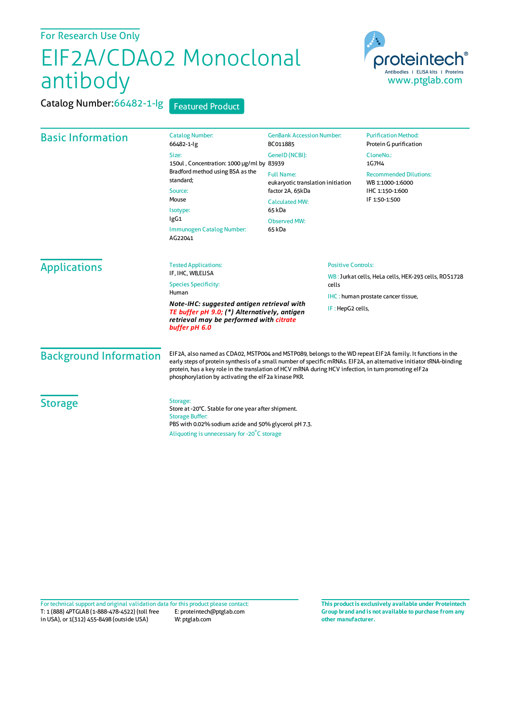## For Research Use Only

## EIF2A/CDA02 Monoclonal antibody

Catalog Number: 66482-1-lg Featured Product



| <b>Basic Information</b>      | <b>Catalog Number:</b><br>66482-1-lg                                                                                                                                                                                                                                                                                                                                                             | <b>GenBank Accession Number:</b><br>BC011885                                                                  | <b>Purification Method:</b><br>Protein G purification                                 |
|-------------------------------|--------------------------------------------------------------------------------------------------------------------------------------------------------------------------------------------------------------------------------------------------------------------------------------------------------------------------------------------------------------------------------------------------|---------------------------------------------------------------------------------------------------------------|---------------------------------------------------------------------------------------|
|                               | Size:<br>150ul, Concentration: 1000 µg/ml by 83939<br>Bradford method using BSA as the<br>standard;<br>Source:<br>Mouse<br>Isotype:<br>IgG1<br>Immunogen Catalog Number:<br>AG22041                                                                                                                                                                                                              | GeneID (NCBI):                                                                                                | CloneNo.:<br>1G7H4                                                                    |
|                               |                                                                                                                                                                                                                                                                                                                                                                                                  | <b>Full Name:</b><br>eukaryotic translation initiation<br>factor 2A, 65kDa<br><b>Calculated MW:</b><br>65 kDa | <b>Recommended Dilutions:</b><br>WB 1:1000-1:6000<br>IHC 1:150-1:600<br>IF 1:50-1:500 |
|                               |                                                                                                                                                                                                                                                                                                                                                                                                  |                                                                                                               |                                                                                       |
|                               |                                                                                                                                                                                                                                                                                                                                                                                                  | <b>Applications</b>                                                                                           |                                                                                       |
| <b>Background Information</b> | EIF2A, also named as CDA02, MSTP004 and MSTP089, belongs to the WD repeat EIF2A family. It functions in the<br>early steps of protein synthesis of a small number of specific mRNAs. EIF2A, an alternative initiator tRNA-binding<br>protein, has a key role in the translation of HCV mRNA during HCV infection, in turn promoting eIF2a<br>phosphorylation by activating the eIF2a kinase PKR. |                                                                                                               |                                                                                       |
| <b>Storage</b>                | Storage:<br>Store at -20°C. Stable for one year after shipment.<br><b>Storage Buffer:</b><br>PBS with 0.02% sodium azide and 50% glycerol pH 7.3.<br>Aliquoting is unnecessary for -20°C storage                                                                                                                                                                                                 |                                                                                                               |                                                                                       |

T: 1 (888) 4PTGLAB (1-888-478-4522) (toll free in USA), or 1(312) 455-8498 (outside USA) E: proteintech@ptglab.com W: ptglab.com Fortechnical support and original validation data forthis product please contact: **This productis exclusively available under Proteintech**

**Group brand and is not available to purchase from any other manufacturer.**